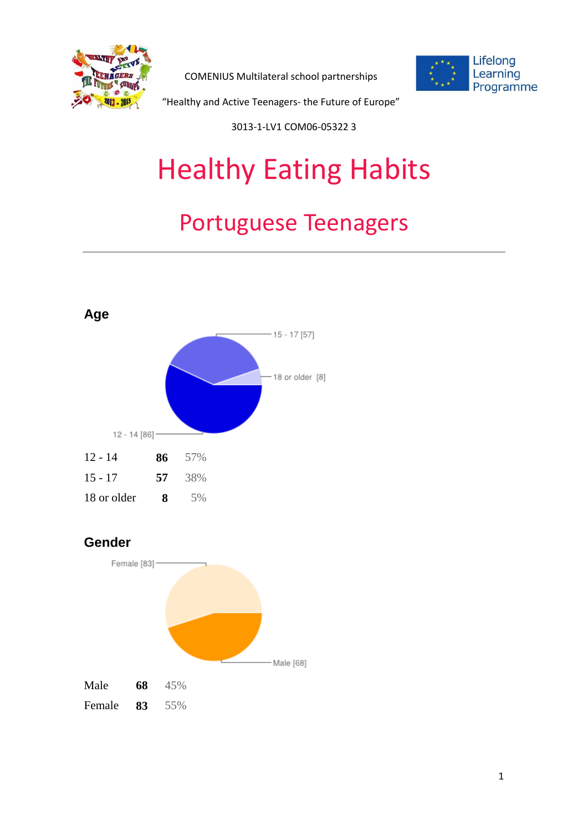

COMENIUS Multilateral school partnerships



"Healthy and Active Teenagers- the Future of Europe"

3013-1-LV1 COM06-05322 3

# Healthy Eating Habits

# Portuguese Teenagers



#### **Gender**

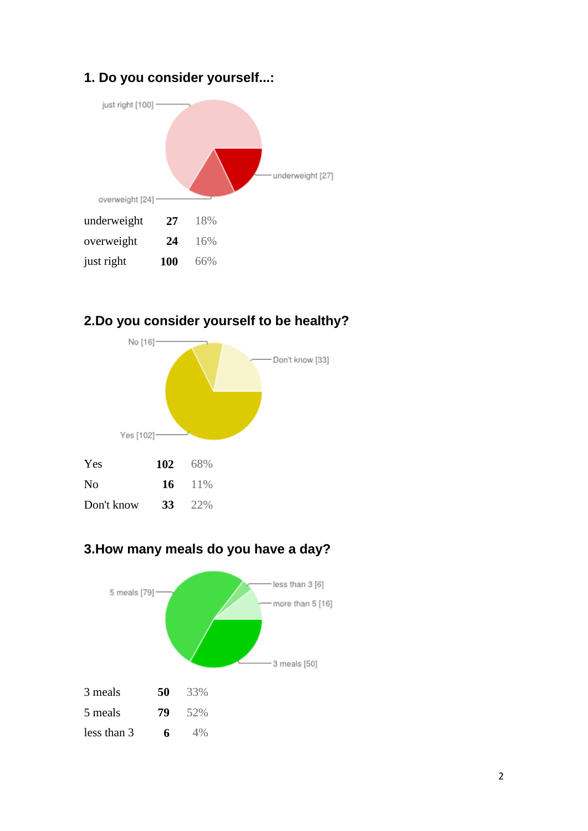#### **1. Do you consider yourself...:**



#### **2.Do you consider yourself to be healthy?**



#### **3.How many meals do you have a day?**

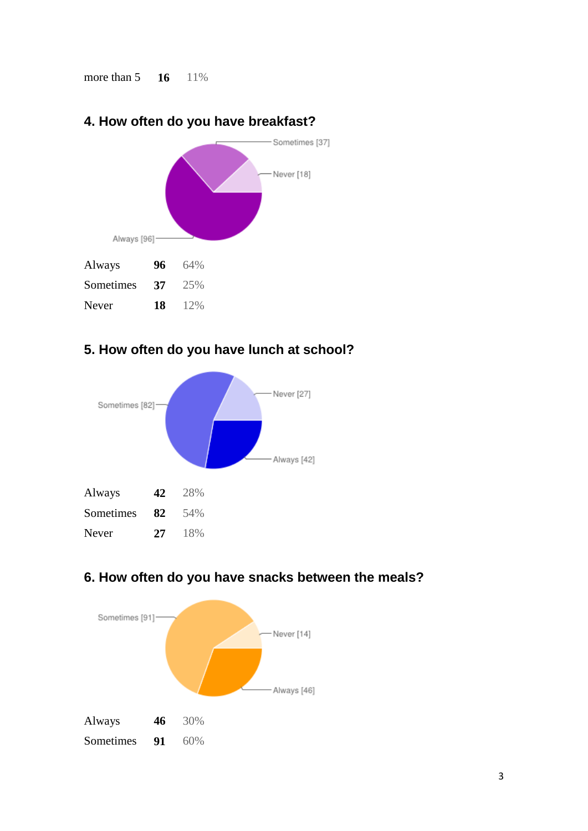more than 5 **16** 11%



### **4. How often do you have breakfast?**

#### **5. How often do you have lunch at school?**





#### **6. How often do you have snacks between the meals?**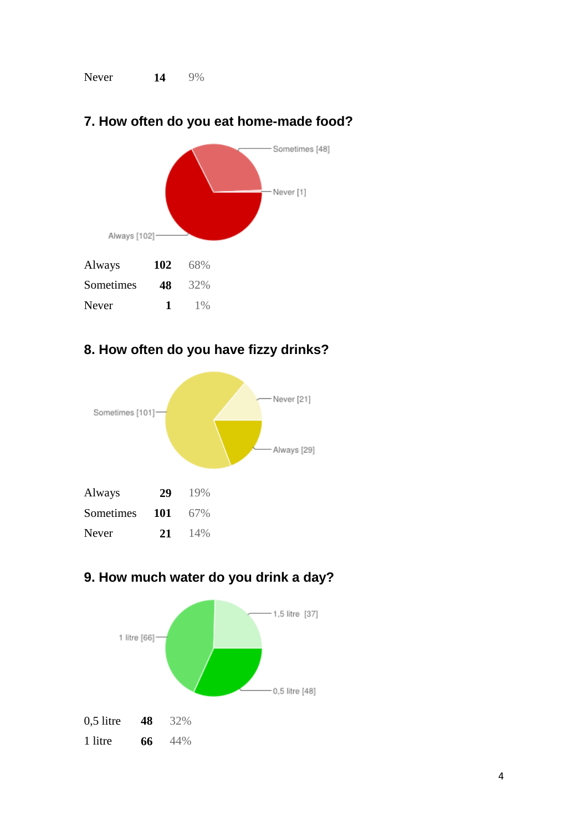Never **14** 9%



## **7. How often do you eat home-made food?**

#### **8. How often do you have fizzy drinks?**



#### **9. How much water do you drink a day?**

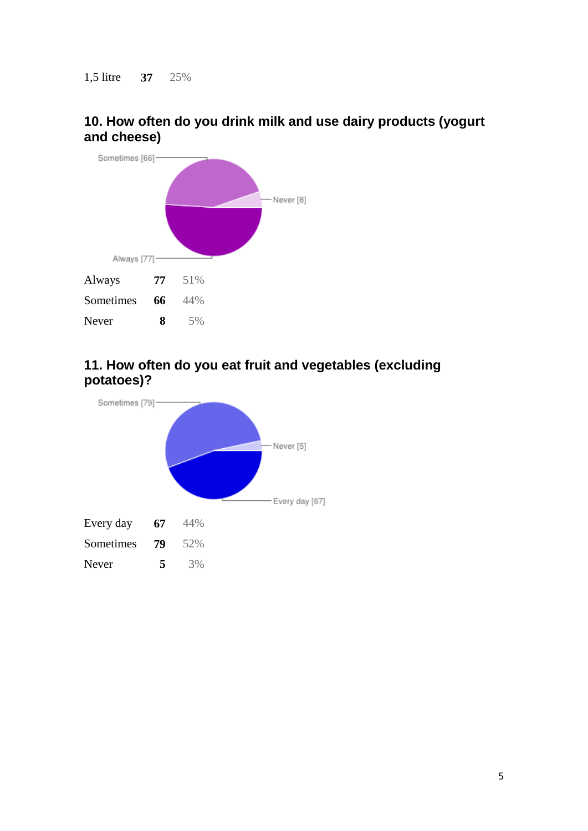#### **10. How often do you drink milk and use dairy products (yogurt and cheese)**



#### **11. How often do you eat fruit and vegetables (excluding potatoes)?**

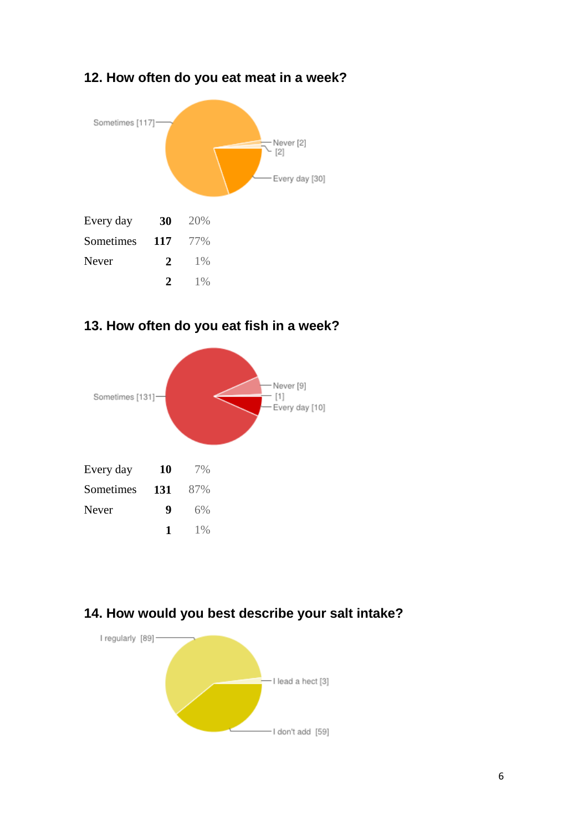#### **12. How often do you eat meat in a week?**



#### **13. How often do you eat fish in a week?**



#### **14. How would you best describe your salt intake?**

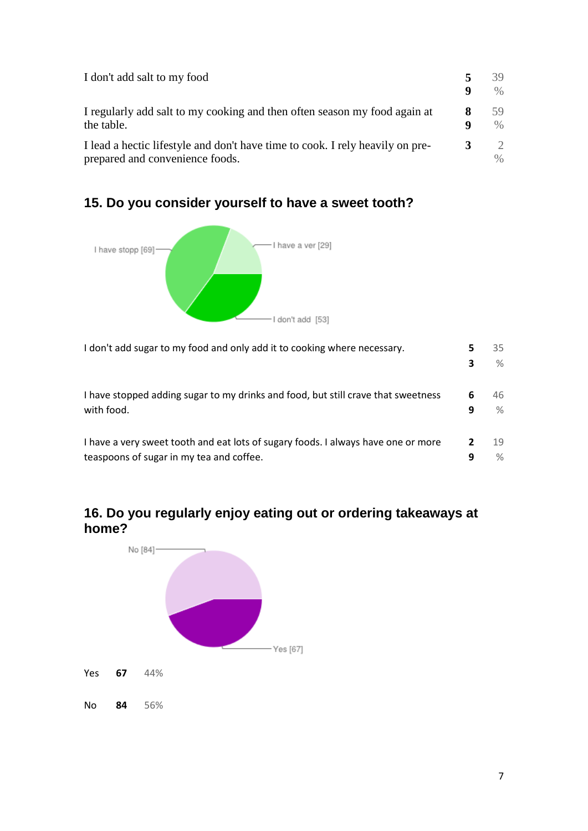| I don't add salt to my food                                                                                      | 9      | 39<br>$\%$ |
|------------------------------------------------------------------------------------------------------------------|--------|------------|
| I regularly add salt to my cooking and then often season my food again at<br>the table.                          | 8<br>q | 59<br>$\%$ |
| I lead a hectic lifestyle and don't have time to cook. I rely heavily on pre-<br>prepared and convenience foods. | 3      | 2<br>$\%$  |

#### **15. Do you consider yourself to have a sweet tooth?**



I don't add sugar to my food and only add it to cooking where necessary. **5 3** 35 % I have stopped adding sugar to my drinks and food, but still crave that sweetness with food. **6 9** 46  $\frac{1}{2}$ I have a very sweet tooth and eat lots of sugary foods. I always have one or more teaspoons of sugar in my tea and coffee. **2 9** 19 %

#### **16. Do you regularly enjoy eating out or ordering takeaways at home?**